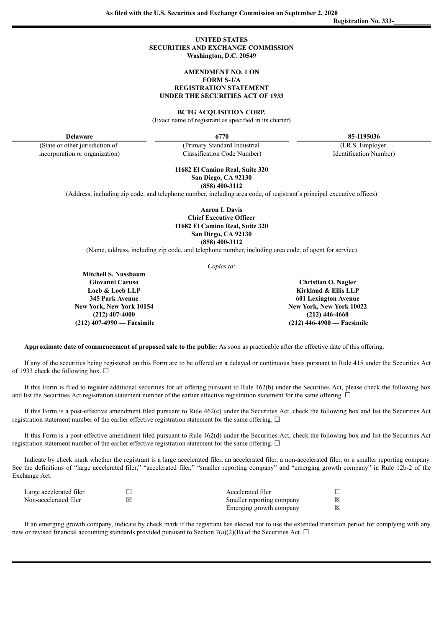### **UNITED STATES SECURITIES AND EXCHANGE COMMISSION Washington, D.C. 20549**

#### **AMENDMENT NO. 1 ON FORM S-1/A**

**REGISTRATION STATEMENT UNDER THE SECURITIES ACT OF 1933**

**BCTG ACQUISITION CORP.**

(Exact name of registrant as specified in its charter)

**Delaware 6770 85-1195036**

**Registration No. 333-\_\_\_\_\_\_\_\_\_\_\_**

(State or other jurisdiction of incorporation or organization)

(Primary Standard Industrial Classification Code Number)

(I.R.S. Employer Identification Number)

**11682 El Camino Real, Suite 320 San Diego, CA 92130 (858) 400-3112**

(Address, including zip code, and telephone number, including area code, of registrant's principal executive offices)

**Aaron I. Davis Chief Executive Officer 11682 El Camino Real, Suite 320 San Diego, CA 92130 (858) 400-3112**

(Name, address, including zip code, and telephone number, including area code, of agent for service)

*Copies to:*

**Mitchell S. Nussbaum Giovanni Caruso Loeb & Loeb LLP 345 Park Avenue New York, New York 10154 (212) 407-4000 (212) 407-4990 — Facsimile**

**Christian O. Nagler Kirkland & Ellis LLP 601 Lexington Avenue New York, New York 10022 (212) 446-4660 (212) 446-4900 — Facsimile**

**Approximate date of commencement of proposed sale to the public:** As soon as practicable after the effective date of this offering.

If any of the securities being registered on this Form are to be offered on a delayed or continuous basis pursuant to Rule 415 under the Securities Act of 1933 check the following box.  $\Box$ 

If this Form is filed to register additional securities for an offering pursuant to Rule 462(b) under the Securities Act, please check the following box and list the Securities Act registration statement number of the earlier effective registration statement for the same offering. □

If this Form is a post-effective amendment filed pursuant to Rule 462(c) under the Securities Act, check the following box and list the Securities Act registration statement number of the earlier effective registration statement for the same offering. □

If this Form is a post-effective amendment filed pursuant to Rule 462(d) under the Securities Act, check the following box and list the Securities Act registration statement number of the earlier effective registration statement for the same offering. □

Indicate by check mark whether the registrant is a large accelerated filer, an accelerated filer, a non-accelerated filer, or a smaller reporting company. See the definitions of "large accelerated filer," "accelerated filer," "smaller reporting company" and "emerging growth company" in Rule 12b-2 of the Exchange Act:

| Large accelerated filer | Accelerated filer         |   |
|-------------------------|---------------------------|---|
| Non-accelerated filer   | Smaller reporting company | ⊠ |
|                         | Emerging growth company   | ⊠ |

If an emerging growth company, indicate by check mark if the registrant has elected not to use the extended transition period for complying with any new or revised financial accounting standards provided pursuant to Section 7(a)(2)(B) of the Securities Act.  $\Box$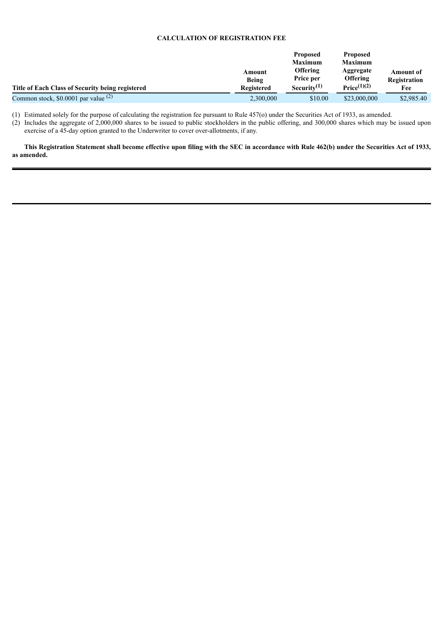# **CALCULATION OF REGISTRATION FEE**

|                                                  |                   | <b>Proposed</b>              | <b>Proposed</b>                                  |                           |
|--------------------------------------------------|-------------------|------------------------------|--------------------------------------------------|---------------------------|
|                                                  |                   | <b>Maximum</b>               | <b>Maximum</b>                                   |                           |
|                                                  | Amount<br>Being   | <b>Offering</b><br>Price per | Aggregate<br>Offering<br>Price <sup>(1)(2)</sup> | Amount of<br>Registration |
| Title of Each Class of Security being registered | <b>Registered</b> | Security $(1)$               |                                                  | Fee                       |
| Common stock, \$0.0001 par value $(2)$           | 2,300,000         | \$10.00                      | \$23,000,000                                     | \$2,985.40                |

(1) Estimated solely for the purpose of calculating the registration fee pursuant to Rule 457(o) under the Securities Act of 1933, as amended.

(2) Includes the aggregate of 2,000,000 shares to be issued to public stockholders in the public offering, and 300,000 shares which may be issued upon exercise of a 45-day option granted to the Underwriter to cover over-allotments, if any.

This Registration Statement shall become effective upon filing with the SEC in accordance with Rule 462(b) under the Securities Act of 1933, **as amended.**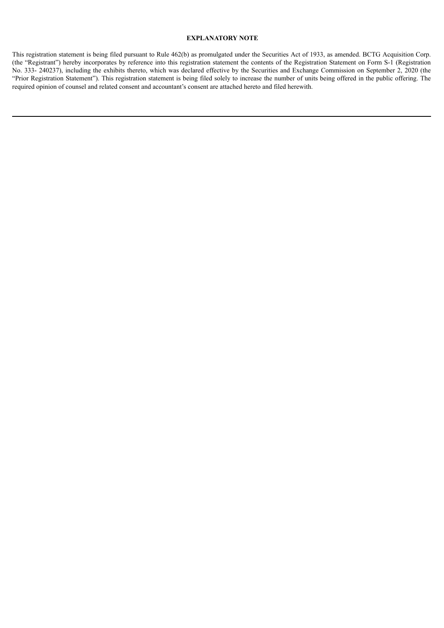# **EXPLANATORY NOTE**

This registration statement is being filed pursuant to Rule 462(b) as promulgated under the Securities Act of 1933, as amended. BCTG Acquisition Corp. (the "Registrant") hereby incorporates by reference into this registration statement the contents of the Registration Statement on Form S-1 (Registration No. 333- 240237), including the exhibits thereto, which was declared effective by the Securities and Exchange Commission on September 2, 2020 (the "Prior Registration Statement"). This registration statement is being filed solely to increase the number of units being offered in the public offering. The required opinion of counsel and related consent and accountant's consent are attached hereto and filed herewith.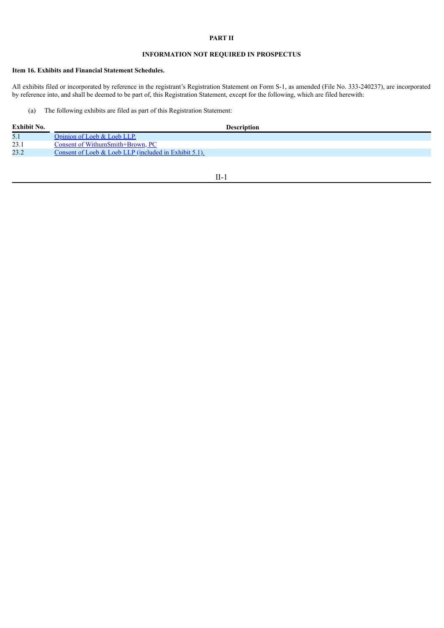### **PART II**

# **INFORMATION NOT REQUIRED IN PROSPECTUS**

# **Item 16. Exhibits and Financial Statement Schedules.**

All exhibits filed or incorporated by reference in the registrant's Registration Statement on Form S-1, as amended (File No. 333-240237), are incorporated by reference into, and shall be deemed to be part of, this Registration Statement, except for the following, which are filed herewith:

### (a) The following exhibits are filed as part of this Registration Statement:

| Exhibit No. | <b>Description</b>                                       |
|-------------|----------------------------------------------------------|
| 5.1         | Opinion of Loeb & Loeb LLP.                              |
| 23.1        | Consent of WithumSmith+Brown, PC                         |
| 23.2        | Consent of Loeb & Loeb LLP (included in Exhibit $5.1$ ). |
|             |                                                          |

II-1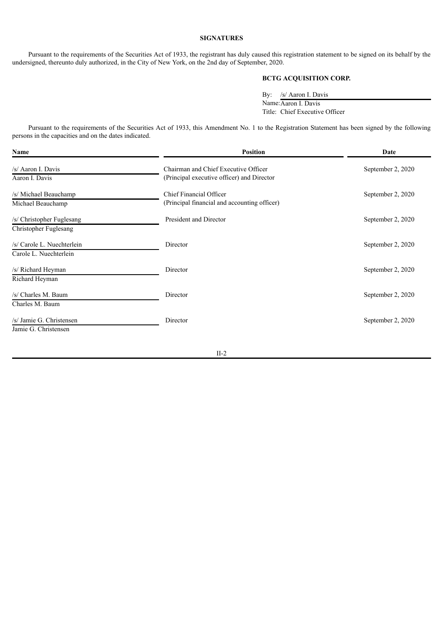### **SIGNATURES**

Pursuant to the requirements of the Securities Act of 1933, the registrant has duly caused this registration statement to be signed on its behalf by the undersigned, thereunto duly authorized, in the City of New York, on the 2nd day of September, 2020.

# **BCTG ACQUISITION CORP.**

By: /s/ Aaron I. Davis Name:Aaron I. Davis Title: Chief Executive Officer

 $\overline{\phantom{0}}$ 

Pursuant to the requirements of the Securities Act of 1933, this Amendment No. 1 to the Registration Statement has been signed by the following persons in the capacities and on the dates indicated.

| <b>Position</b><br>Name    |                                              | Date              |  |
|----------------------------|----------------------------------------------|-------------------|--|
| /s/ Aaron I. Davis         | Chairman and Chief Executive Officer         | September 2, 2020 |  |
| Aaron I. Davis             | (Principal executive officer) and Director   |                   |  |
| /s/ Michael Beauchamp      | Chief Financial Officer                      | September 2, 2020 |  |
| Michael Beauchamp          | (Principal financial and accounting officer) |                   |  |
| /s/ Christopher Fuglesang  | President and Director                       | September 2, 2020 |  |
| Christopher Fuglesang      |                                              |                   |  |
| /s/ Carole L. Nuechterlein | Director                                     | September 2, 2020 |  |
| Carole L. Nuechterlein     |                                              |                   |  |
| /s/ Richard Heyman         | Director                                     | September 2, 2020 |  |
| Richard Heyman             |                                              |                   |  |
| /s/ Charles M. Baum        | Director                                     | September 2, 2020 |  |
| Charles M. Baum            |                                              |                   |  |
| /s/ Jamie G. Christensen   | Director                                     | September 2, 2020 |  |
| Jamie G. Christensen       |                                              |                   |  |

II-2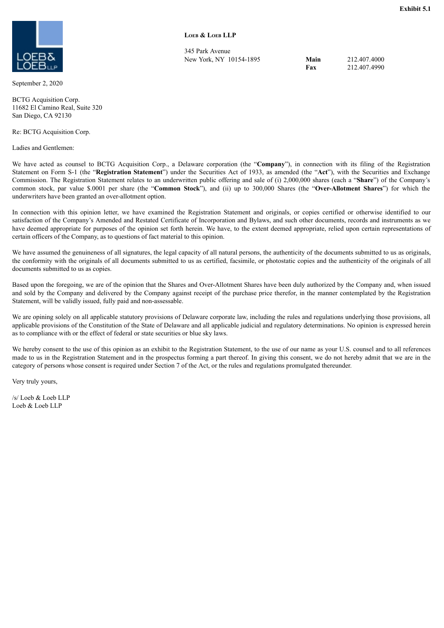<span id="page-5-0"></span>

September 2, 2020

BCTG Acquisition Corp. 11682 El Camino Real, Suite 320 San Diego, CA 92130

Re: BCTG Acquisition Corp.

Ladies and Gentlemen:

**LOEB & LOEB LLP**

345 Park Avenue New York, NY 10154-1895 **Main**

**Fax** 212.407.4000 212.407.4990

We have acted as counsel to BCTG Acquisition Corp., a Delaware corporation (the "**Company**"), in connection with its filing of the Registration Statement on Form S-1 (the "**Registration Statement**") under the Securities Act of 1933, as amended (the "**Act**"), with the Securities and Exchange Commission. The Registration Statement relates to an underwritten public offering and sale of (i) 2,000,000 shares (each a "**Share**") of the Company's common stock, par value \$.0001 per share (the "**Common Stock**"), and (ii) up to 300,000 Shares (the "**Over-Allotment Shares**") for which the underwriters have been granted an over-allotment option.

In connection with this opinion letter, we have examined the Registration Statement and originals, or copies certified or otherwise identified to our satisfaction of the Company's Amended and Restated Certificate of Incorporation and Bylaws, and such other documents, records and instruments as we have deemed appropriate for purposes of the opinion set forth herein. We have, to the extent deemed appropriate, relied upon certain representations of certain officers of the Company, as to questions of fact material to this opinion.

We have assumed the genuineness of all signatures, the legal capacity of all natural persons, the authenticity of the documents submitted to us as originals, the conformity with the originals of all documents submitted to us as certified, facsimile, or photostatic copies and the authenticity of the originals of all documents submitted to us as copies.

Based upon the foregoing, we are of the opinion that the Shares and Over-Allotment Shares have been duly authorized by the Company and, when issued and sold by the Company and delivered by the Company against receipt of the purchase price therefor, in the manner contemplated by the Registration Statement, will be validly issued, fully paid and non-assessable.

We are opining solely on all applicable statutory provisions of Delaware corporate law, including the rules and regulations underlying those provisions, all applicable provisions of the Constitution of the State of Delaware and all applicable judicial and regulatory determinations. No opinion is expressed herein as to compliance with or the effect of federal or state securities or blue sky laws.

We hereby consent to the use of this opinion as an exhibit to the Registration Statement, to the use of our name as your U.S. counsel and to all references made to us in the Registration Statement and in the prospectus forming a part thereof. In giving this consent, we do not hereby admit that we are in the category of persons whose consent is required under Section 7 of the Act, or the rules and regulations promulgated thereunder.

Very truly yours,

/s/ Loeb & Loeb LLP Loeb & Loeb LLP